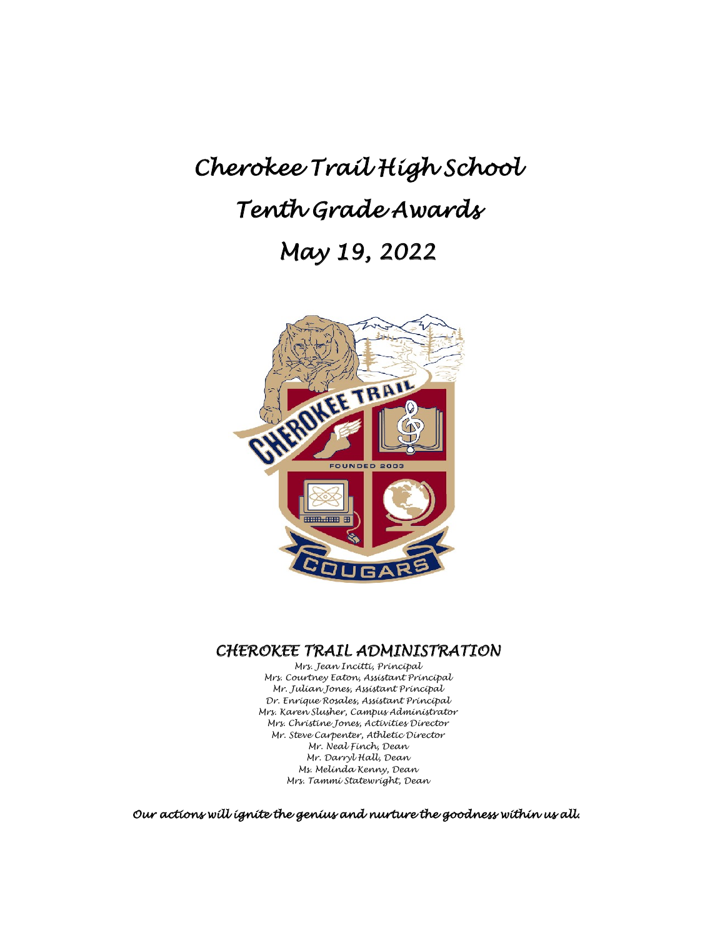# *Cherokee Trail High School Tenth Grade Awards May 19, 2022*



## *CHEROKEE TRAIL ADMINISTRATION Mrs. Jean Incitti, Principal*

*Mrs. Courtney Eaton, Assistant Principal Mr. Julian Jones, Assistant Principal Dr. Enrique Rosales, Assistant Principal Mrs. Karen Slusher, Campus Administrator Mrs. Christine Jones, Activities Director Mr. Steve Carpenter, Athletic Director Mr. Neal Finch, Dean Mr. Darryl Hall, Dean Ms. Melinda Kenny, Dean Mrs. Tammi Statewright, Dean*

*Our actions will ignite the genius and nurture the goodness within us all.*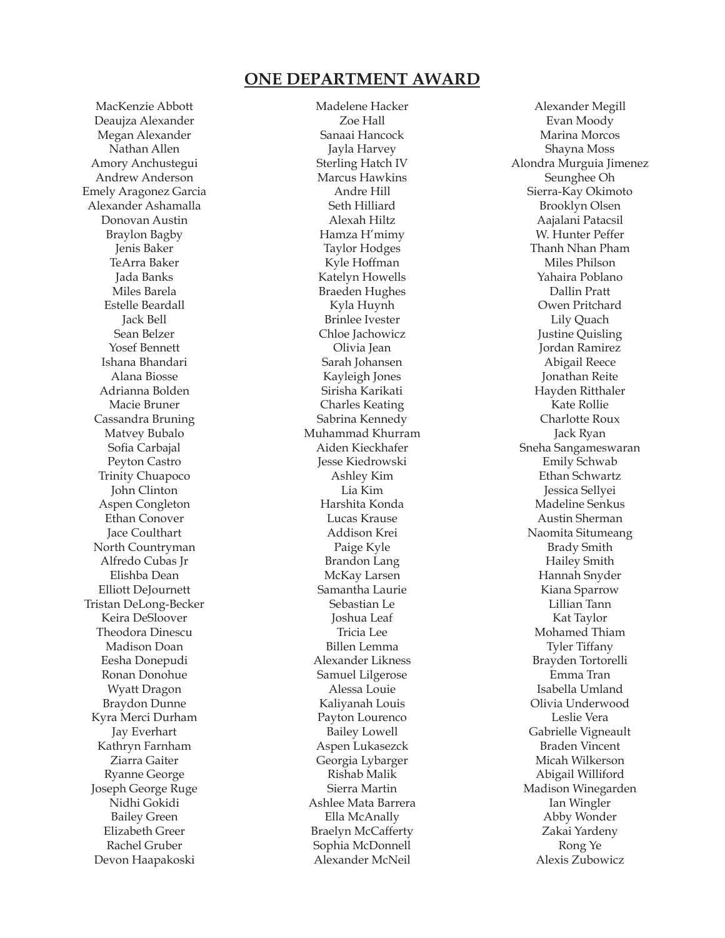#### **ONE DEPARTMENT AWARD**

MacKenzie Abbott Deaujza Alexander Megan Alexander Nathan Allen Amory Anchustegui Andrew Anderson Emely Aragonez Garcia Alexander Ashamalla Donovan Austin Braylon Bagby Jenis Baker TeArra Baker Jada Banks Miles Barela Estelle Beardall Jack Bell Sean Belzer Yosef Bennett Ishana Bhandari Alana Biosse Adrianna Bolden Macie Bruner Cassandra Bruning Matvey Bubalo Sofia Carbajal Peyton Castro Trinity Chuapoco John Clinton Aspen Congleton Ethan Conover Jace Coulthart North Countryman Alfredo Cubas Jr Elishba Dean Elliott DeJournett Tristan DeLong-Becker Keira DeSloover Theodora Dinescu Madison Doan Eesha Donepudi Ronan Donohue Wyatt Dragon Braydon Dunne Kyra Merci Durham Jay Everhart Kathryn Farnham Ziarra Gaiter Ryanne George Joseph George Ruge Nidhi Gokidi Bailey Green Elizabeth Greer Rachel Gruber Devon Haapakoski

Madelene Hacker Zoe Hall Sanaai Hancock Jayla Harvey Sterling Hatch IV Marcus Hawkins Andre Hill Seth Hilliard Alexah Hiltz Hamza H'mimy Taylor Hodges Kyle Hoffman Katelyn Howells Braeden Hughes Kyla Huynh Brinlee Ivester Chloe Jachowicz Olivia Jean Sarah Johansen Kayleigh Jones Sirisha Karikati Charles Keating Sabrina Kennedy Muhammad Khurram Aiden Kieckhafer Jesse Kiedrowski Ashley Kim Lia Kim Harshita Konda Lucas Krause Addison Krei Paige Kyle Brandon Lang McKay Larsen Samantha Laurie Sebastian Le Joshua Leaf Tricia Lee Billen Lemma Alexander Likness Samuel Lilgerose Alessa Louie Kaliyanah Louis Payton Lourenco Bailey Lowell Aspen Lukasezck Georgia Lybarger Rishab Malik Sierra Martin Ashlee Mata Barrera Ella McAnally Braelyn McCafferty Sophia McDonnell Alexander McNeil

Alexander Megill Evan Moody Marina Morcos Shayna Moss Alondra Murguia Jimenez Seunghee Oh Sierra-Kay Okimoto Brooklyn Olsen Aajalani Patacsil W. Hunter Peffer Thanh Nhan Pham Miles Philson Yahaira Poblano Dallin Pratt Owen Pritchard Lily Quach Justine Quisling Jordan Ramirez Abigail Reece Jonathan Reite Hayden Ritthaler Kate Rollie Charlotte Roux Jack Ryan Sneha Sangameswaran Emily Schwab Ethan Schwartz Jessica Sellyei Madeline Senkus Austin Sherman Naomita Situmeang Brady Smith Hailey Smith Hannah Snyder Kiana Sparrow Lillian Tann Kat Taylor Mohamed Thiam Tyler Tiffany Brayden Tortorelli Emma Tran Isabella Umland Olivia Underwood Leslie Vera Gabrielle Vigneault Braden Vincent Micah Wilkerson Abigail Williford Madison Winegarden Ian Wingler Abby Wonder Zakai Yardeny Rong Ye Alexis Zubowicz